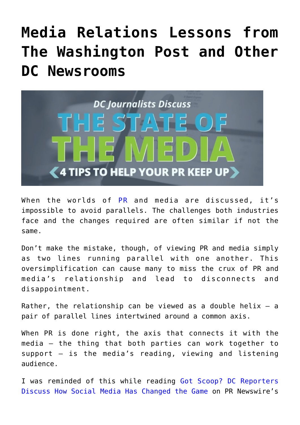## **[Media Relations Lessons from](https://www.commpro.biz/media-relations-lessons-from-the-washington-post-and-other-dc-newsrooms/) [The Washington Post and Other](https://www.commpro.biz/media-relations-lessons-from-the-washington-post-and-other-dc-newsrooms/) [DC Newsrooms](https://www.commpro.biz/media-relations-lessons-from-the-washington-post-and-other-dc-newsrooms/)**



When the worlds of  $PR$  and media are discussed, it's impossible to avoid parallels. The challenges both industries face and the changes required are often similar if not the same.

Don't make the mistake, though, of viewing PR and media simply as two lines running parallel with one another. This oversimplification can cause many to miss the crux of PR and media's relationship and lead to disconnects and disappointment.

Rather, the relationship can be viewed as a double helix  $-$  a pair of parallel lines intertwined around a common axis.

When PR is done right, the axis that connects it with the media — the thing that both parties can work together to support — is the media's reading, viewing and listening audience.

I was reminded of this while reading [Got Scoop? DC Reporters](https://mediablog.prnewswire.com/2016/05/18/got-scoop-dc-reporters-discuss-how-social-media-has-changed-the-game/) [Discuss How Social Media Has Changed the Game](https://mediablog.prnewswire.com/2016/05/18/got-scoop-dc-reporters-discuss-how-social-media-has-changed-the-game/) on PR Newswire's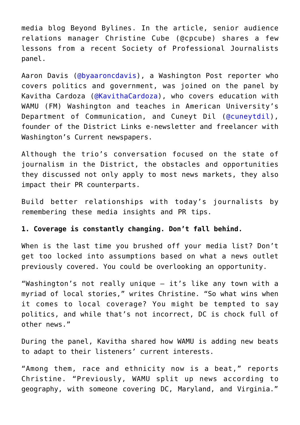media blog Beyond Bylines. In the article, senior audience relations manager Christine Cube ([@cpcube](https://twitter.com/cpcube)) shares a few lessons from a recent Society of Professional Journalists panel.

Aaron Davis ([@byaaroncdavis](https://twitter.com/byaaroncdavis)), a Washington Post reporter who covers politics and government, was joined on the panel by Kavitha Cardoza ([@KavithaCardoza](https://twitter.com/KavithaCardoza)), who covers education with WAMU (FM) Washington and teaches in American University's Department of Communication, and Cuneyt Dil ([@cuneytdil\)](https://twitter.com/cuneytdil), founder of the District Links e-newsletter and freelancer with Washington's Current newspapers.

Although the trio's conversation focused on the state of journalism in the District, the obstacles and opportunities they discussed not only apply to most news markets, they also impact their PR counterparts.

Build better relationships with today's journalists by remembering these media insights and PR tips.

## **1. Coverage is constantly changing. Don't fall behind.**

When is the last time you brushed off your media list? Don't get too locked into assumptions based on what a news outlet previously covered. You could be overlooking an opportunity.

"Washington's not really unique – it's like any town with a myriad of local stories," writes Christine. "So what wins when it comes to local coverage? You might be tempted to say politics, and while that's not incorrect, DC is chock full of other news."

During the panel, Kavitha shared how WAMU is adding new beats to adapt to their listeners' current interests.

"Among them, race and ethnicity now is a beat," reports Christine. "Previously, WAMU split up news according to geography, with someone covering DC, Maryland, and Virginia."